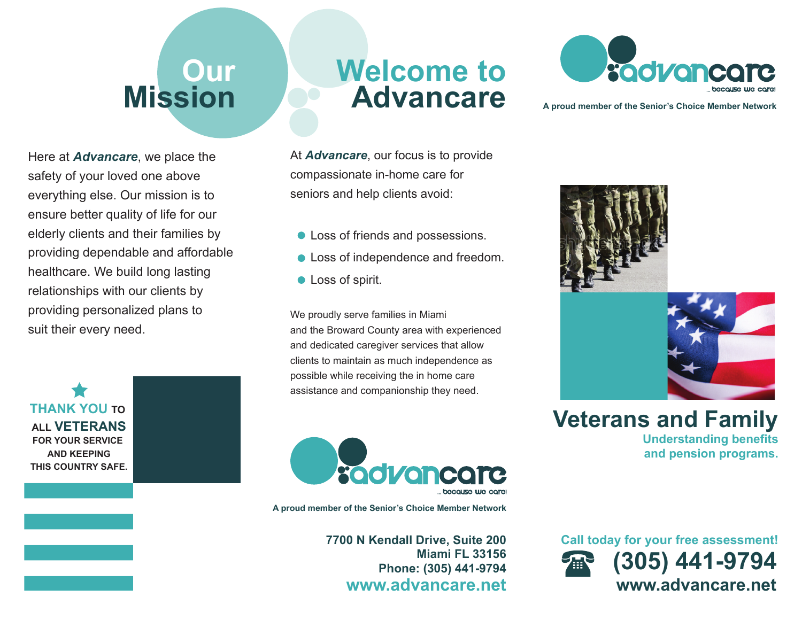## **Our Mission**

Here at *Advancare*, we place the safety of your loved one above everything else. Our mission is to ensure better quality of life for our elderly clients and their families by providing dependable and affordable healthcare. We build long lasting relationships with our clients by providing personalized plans to suit their every need.

**THANK YOU TO ALL VETERANSFOR YOUR SERVICE AND KEEPINGTHIS COUNTRY SAFE.**

## **Welcome toAdvancare**

At *Advancare*, our focus is to provide compassionate in-home care for seniors and help clients avoid:

- Loss of friends and possessions.
- **Loss of independence and freedom.**
- **C** Loss of spirit.

We proudly serve families in Miami and the Broward County area with experienced and dedicated caregiver services that allow clients to maintain as much independence as possible while receiving the in home care assistance and companionship they need.



**A proud member of the Senior's Choice Member Network**

**7700 N Kendall Drive, Suite 200 Miami FL 33156Phone: (305) 441-9794 www.advancare.net**



**A proud member of the Senior's Choice Member Network**





**Veterans and Family Understanding benefits and pension programs.**